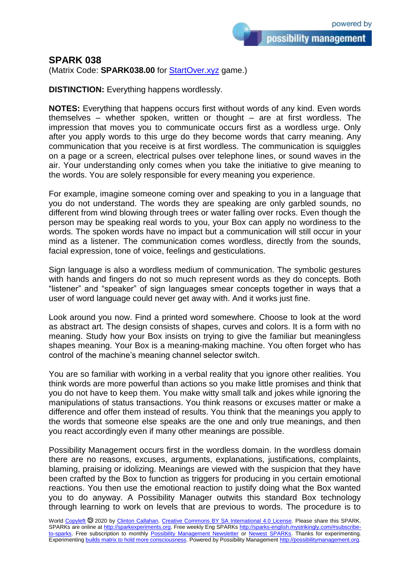possibility management

## **SPARK 038**

(Matrix Code: **SPARK038.00** for [StartOver.xyz](https://startoverxyz.mystrikingly.com/) game.)

**DISTINCTION:** Everything happens wordlessly.

**NOTES:** Everything that happens occurs first without words of any kind. Even words themselves – whether spoken, written or thought – are at first wordless. The impression that moves you to communicate occurs first as a wordless urge. Only after you apply words to this urge do they become words that carry meaning. Any communication that you receive is at first wordless. The communication is squiggles on a page or a screen, electrical pulses over telephone lines, or sound waves in the air. Your understanding only comes when you take the initiative to give meaning to the words. You are solely responsible for every meaning you experience.

For example, imagine someone coming over and speaking to you in a language that you do not understand. The words they are speaking are only garbled sounds, no different from wind blowing through trees or water falling over rocks. Even though the person may be speaking real words to you, your Box can apply no wordiness to the words. The spoken words have no impact but a communication will still occur in your mind as a listener. The communication comes wordless, directly from the sounds, facial expression, tone of voice, feelings and gesticulations.

Sign language is also a wordless medium of communication. The symbolic gestures with hands and fingers do not so much represent words as they do concepts. Both "listener" and "speaker" of sign languages smear concepts together in ways that a user of word language could never get away with. And it works just fine.

Look around you now. Find a printed word somewhere. Choose to look at the word as abstract art. The design consists of shapes, curves and colors. It is a form with no meaning. Study how your Box insists on trying to give the familiar but meaningless shapes meaning. Your Box is a meaning-making machine. You often forget who has control of the machine's meaning channel selector switch.

You are so familiar with working in a verbal reality that you ignore other realities. You think words are more powerful than actions so you make little promises and think that you do not have to keep them. You make witty small talk and jokes while ignoring the manipulations of status transactions. You think reasons or excuses matter or make a difference and offer them instead of results. You think that the meanings you apply to the words that someone else speaks are the one and only true meanings, and then you react accordingly even if many other meanings are possible.

Possibility Management occurs first in the wordless domain. In the wordless domain there are no reasons, excuses, arguments, explanations, justifications, complaints, blaming, praising or idolizing. Meanings are viewed with the suspicion that they have been crafted by the Box to function as triggers for producing in you certain emotional reactions. You then use the emotional reaction to justify doing what the Box wanted you to do anyway. A Possibility Manager outwits this standard Box technology through learning to work on levels that are previous to words. The procedure is to

World [Copyleft](https://en.wikipedia.org/wiki/Copyleft) @ 2020 by [Clinton Callahan.](http://clintoncallahan.mystrikingly.com/) [Creative Commons BY SA International 4.0 License.](https://creativecommons.org/licenses/by-sa/4.0/) Please share this SPARK. SPARKs are online at [http://sparkexperiments.org.](http://sparks-english.mystrikingly.com/) Free weekly Eng SPARKs [http://sparks-english.mystrikingly.com/#subscribe](http://sparks-english.mystrikingly.com/#subscribe-to-sparks)[to-sparks.](http://sparks-english.mystrikingly.com/#subscribe-to-sparks) Free subscription to monthly [Possibility Management Newsletter](https://possibilitymanagement.org/news/) or [Newest SPARKs.](https://www.clintoncallahan.org/newsletter-1) Thanks for experimenting. Experimentin[g builds matrix to hold more consciousness.](http://spaceport.mystrikingly.com/) Powered by Possibility Managemen[t http://possibilitymanagement.org.](http://possibilitymanagement.org/)